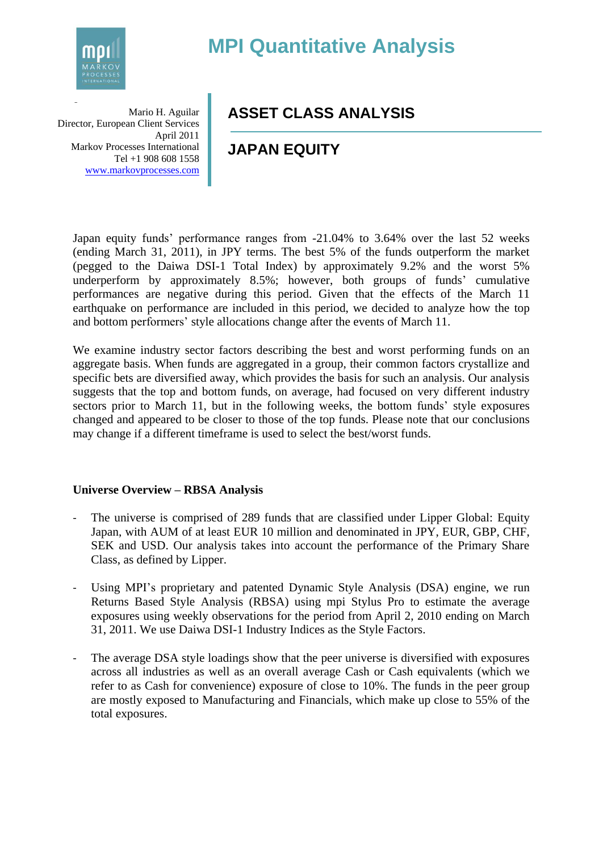

# **MPI Quantitative Analysis**

**a** Mario H. Aguilar Director, European Client Services April 2011 Markov Processes International Tel +1 908 608 1558 [www.markovprocesses.com](http://www.markovprocesses.com/)

## **ASSET CLASS ANALYSIS**

## **JAPAN EQUITY**

Japan equity funds' performance ranges from -21.04% to 3.64% over the last 52 weeks (ending March 31, 2011), in JPY terms. The best 5% of the funds outperform the market (pegged to the Daiwa DSI-1 Total Index) by approximately 9.2% and the worst 5% underperform by approximately 8.5%; however, both groups of funds' cumulative performances are negative during this period. Given that the effects of the March 11 earthquake on performance are included in this period, we decided to analyze how the top and bottom performers' style allocations change after the events of March 11.

We examine industry sector factors describing the best and worst performing funds on an aggregate basis. When funds are aggregated in a group, their common factors crystallize and specific bets are diversified away, which provides the basis for such an analysis. Our analysis suggests that the top and bottom funds, on average, had focused on very different industry sectors prior to March 11, but in the following weeks, the bottom funds' style exposures changed and appeared to be closer to those of the top funds. Please note that our conclusions may change if a different timeframe is used to select the best/worst funds.

#### **Universe Overview – RBSA Analysis**

- The universe is comprised of 289 funds that are classified under Lipper Global: Equity Japan, with AUM of at least EUR 10 million and denominated in JPY, EUR, GBP, CHF, SEK and USD. Our analysis takes into account the performance of the Primary Share Class, as defined by Lipper.
- Using MPI's proprietary and patented Dynamic Style Analysis (DSA) engine, we run Returns Based Style Analysis (RBSA) using mpi Stylus Pro to estimate the average exposures using weekly observations for the period from April 2, 2010 ending on March 31, 2011. We use Daiwa DSI-1 Industry Indices as the Style Factors.
- The average DSA style loadings show that the peer universe is diversified with exposures across all industries as well as an overall average Cash or Cash equivalents (which we refer to as Cash for convenience) exposure of close to 10%. The funds in the peer group are mostly exposed to Manufacturing and Financials, which make up close to 55% of the total exposures.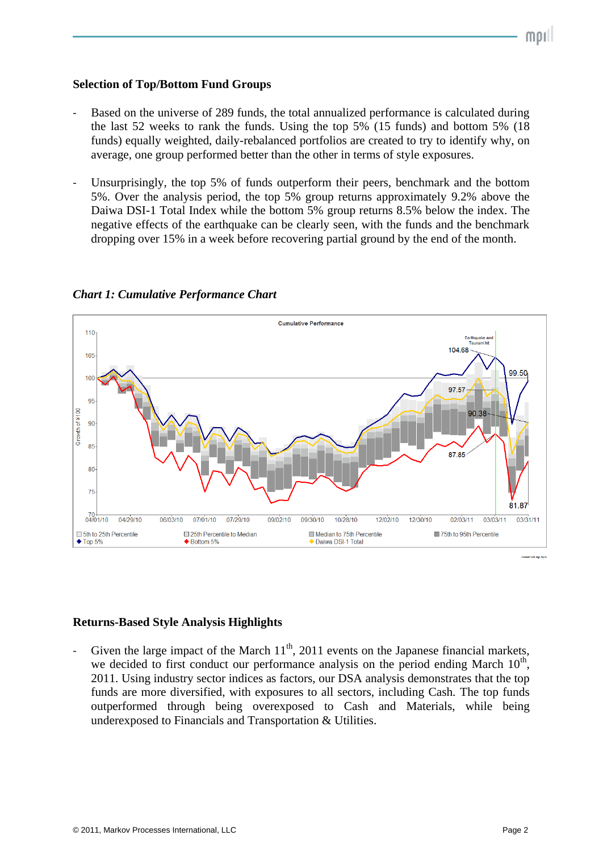#### **Selection of Top/Bottom Fund Groups**

- Based on the universe of 289 funds, the total annualized performance is calculated during the last 52 weeks to rank the funds. Using the top 5% (15 funds) and bottom 5% (18 funds) equally weighted, daily-rebalanced portfolios are created to try to identify why, on average, one group performed better than the other in terms of style exposures.
- Unsurprisingly, the top 5% of funds outperform their peers, benchmark and the bottom 5%. Over the analysis period, the top 5% group returns approximately 9.2% above the Daiwa DSI-1 Total Index while the bottom 5% group returns 8.5% below the index. The negative effects of the earthquake can be clearly seen, with the funds and the benchmark dropping over 15% in a week before recovering partial ground by the end of the month.



*Chart 1: Cumulative Performance Chart*

### **Returns-Based Style Analysis Highlights**

Given the large impact of the March  $11<sup>th</sup>$ , 2011 events on the Japanese financial markets, we decided to first conduct our performance analysis on the period ending March  $10<sup>th</sup>$ , 2011. Using industry sector indices as factors, our DSA analysis demonstrates that the top funds are more diversified, with exposures to all sectors, including Cash. The top funds outperformed through being overexposed to Cash and Materials, while being underexposed to Financials and Transportation & Utilities.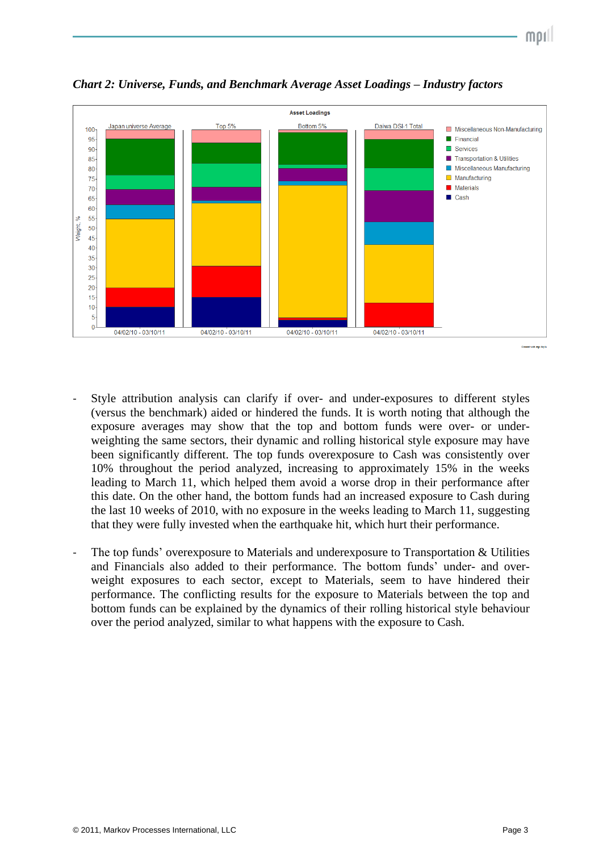

*Chart 2: Universe, Funds, and Benchmark Average Asset Loadings – Industry factors*

- Style attribution analysis can clarify if over- and under-exposures to different styles (versus the benchmark) aided or hindered the funds. It is worth noting that although the exposure averages may show that the top and bottom funds were over- or underweighting the same sectors, their dynamic and rolling historical style exposure may have been significantly different. The top funds overexposure to Cash was consistently over 10% throughout the period analyzed, increasing to approximately 15% in the weeks leading to March 11, which helped them avoid a worse drop in their performance after this date. On the other hand, the bottom funds had an increased exposure to Cash during the last 10 weeks of 2010, with no exposure in the weeks leading to March 11, suggesting that they were fully invested when the earthquake hit, which hurt their performance.
- The top funds' overexposure to Materials and underexposure to Transportation & Utilities and Financials also added to their performance. The bottom funds' under- and overweight exposures to each sector, except to Materials, seem to have hindered their performance. The conflicting results for the exposure to Materials between the top and bottom funds can be explained by the dynamics of their rolling historical style behaviour over the period analyzed, similar to what happens with the exposure to Cash.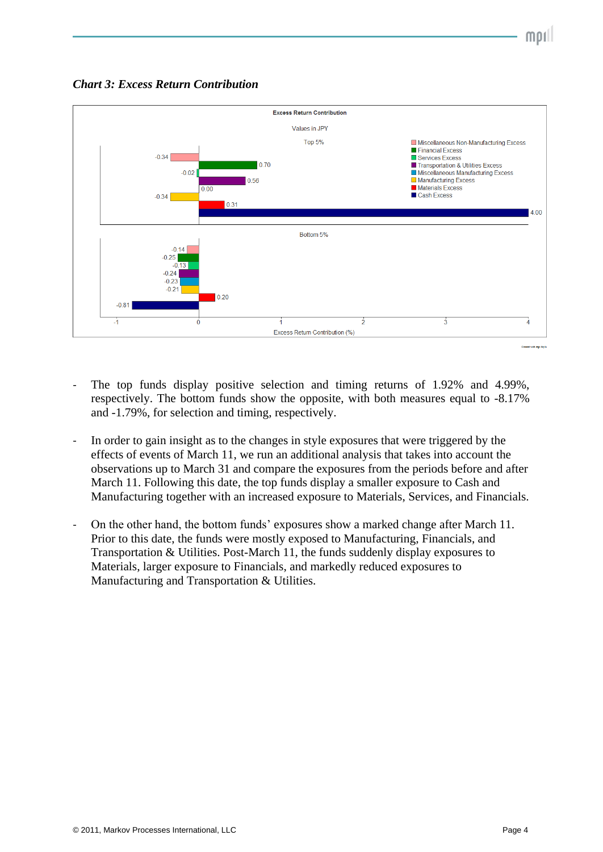*Chart 3: Excess Return Contribution*



- The top funds display positive selection and timing returns of 1.92% and 4.99%, respectively. The bottom funds show the opposite, with both measures equal to -8.17% and -1.79%, for selection and timing, respectively.
- In order to gain insight as to the changes in style exposures that were triggered by the effects of events of March 11, we run an additional analysis that takes into account the observations up to March 31 and compare the exposures from the periods before and after March 11. Following this date, the top funds display a smaller exposure to Cash and Manufacturing together with an increased exposure to Materials, Services, and Financials.
- On the other hand, the bottom funds' exposures show a marked change after March 11. Prior to this date, the funds were mostly exposed to Manufacturing, Financials, and Transportation & Utilities. Post-March 11, the funds suddenly display exposures to Materials, larger exposure to Financials, and markedly reduced exposures to Manufacturing and Transportation & Utilities.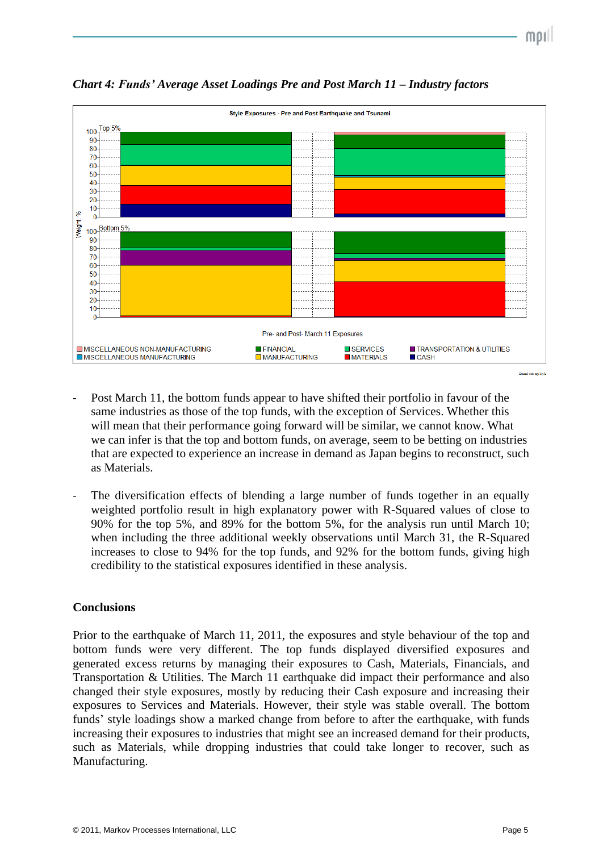



*Chart 4: Funds' Average Asset Loadings Pre and Post March 11 – Industry factors*

- Post March 11, the bottom funds appear to have shifted their portfolio in favour of the same industries as those of the top funds, with the exception of Services. Whether this will mean that their performance going forward will be similar, we cannot know. What we can infer is that the top and bottom funds, on average, seem to be betting on industries that are expected to experience an increase in demand as Japan begins to reconstruct, such as Materials.
- The diversification effects of blending a large number of funds together in an equally weighted portfolio result in high explanatory power with R-Squared values of close to 90% for the top 5%, and 89% for the bottom 5%, for the analysis run until March 10; when including the three additional weekly observations until March 31, the R-Squared increases to close to 94% for the top funds, and 92% for the bottom funds, giving high credibility to the statistical exposures identified in these analysis.

#### **Conclusions**

Prior to the earthquake of March 11, 2011, the exposures and style behaviour of the top and bottom funds were very different. The top funds displayed diversified exposures and generated excess returns by managing their exposures to Cash, Materials, Financials, and Transportation & Utilities. The March 11 earthquake did impact their performance and also changed their style exposures, mostly by reducing their Cash exposure and increasing their exposures to Services and Materials. However, their style was stable overall. The bottom funds' style loadings show a marked change from before to after the earthquake, with funds increasing their exposures to industries that might see an increased demand for their products, such as Materials, while dropping industries that could take longer to recover, such as Manufacturing.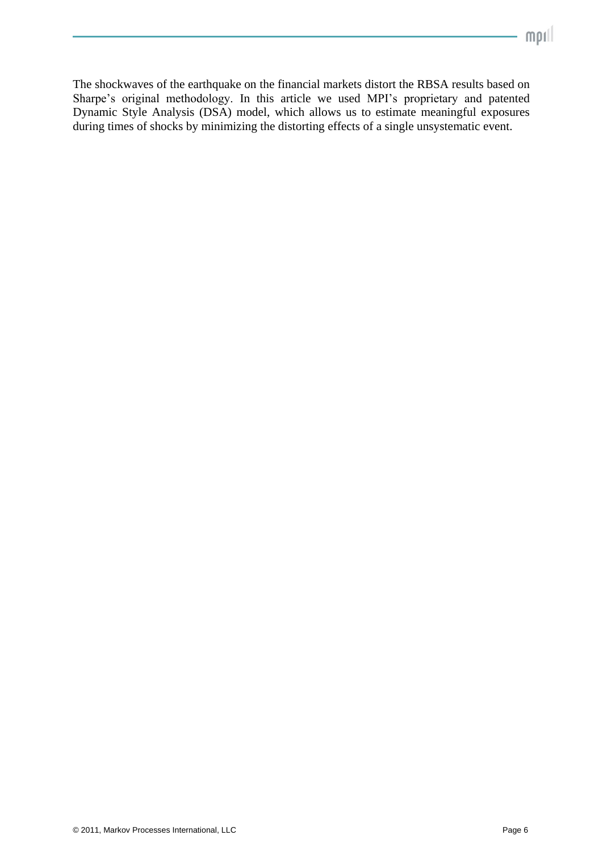The shockwaves of the earthquake on the financial markets distort the RBSA results based on Sharpe's original methodology. In this article we used MPI's proprietary and patented Dynamic Style Analysis (DSA) model, which allows us to estimate meaningful exposures during times of shocks by minimizing the distorting effects of a single unsystematic event.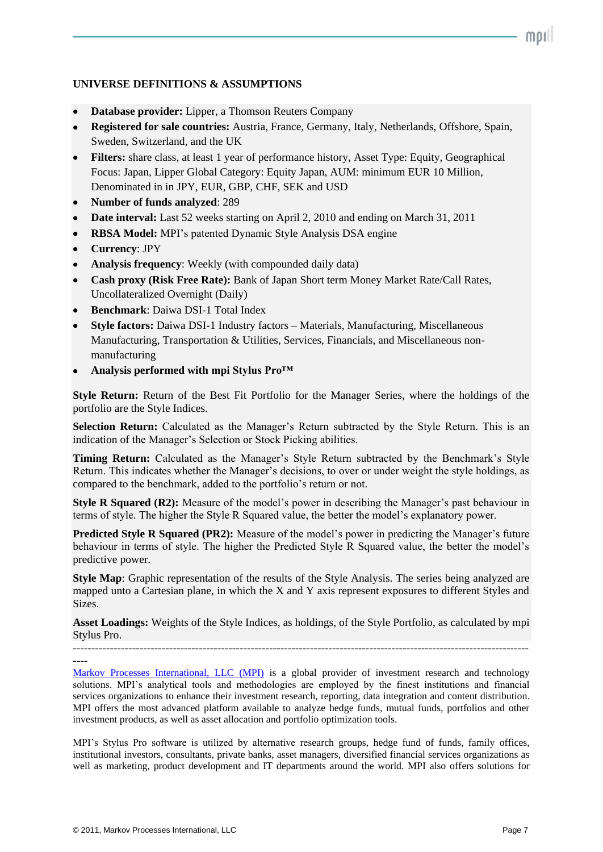#### **UNIVERSE DEFINITIONS & ASSUMPTIONS**

- **Database provider:** Lipper, a Thomson Reuters Company
- **Registered for sale countries:** Austria, France, Germany, Italy, Netherlands, Offshore, Spain, Sweden, Switzerland, and the UK
- **Filters:** share class, at least 1 year of performance history, Asset Type: Equity, Geographical Focus: Japan, Lipper Global Category: Equity Japan, AUM: minimum EUR 10 Million, Denominated in in JPY, EUR, GBP, CHF, SEK and USD
- **Number of funds analyzed**: 289
- **Date interval:** Last 52 weeks starting on April 2, 2010 and ending on March 31, 2011
- **RBSA Model:** MPI's patented Dynamic Style Analysis DSA engine
- **Currency**: JPY
- **Analysis frequency**: Weekly (with compounded daily data)
- **Cash proxy (Risk Free Rate):** Bank of Japan Short term Money Market Rate/Call Rates, Uncollateralized Overnight (Daily)
- **Benchmark**: Daiwa DSI-1 Total Index
- **Style factors:** Daiwa DSI-1 Industry factors Materials, Manufacturing, Miscellaneous Manufacturing, Transportation & Utilities, Services, Financials, and Miscellaneous nonmanufacturing
- **Analysis performed with mpi Stylus Pro™**

**Style Return:** Return of the Best Fit Portfolio for the Manager Series, where the holdings of the portfolio are the Style Indices.

**Selection Return:** Calculated as the Manager's Return subtracted by the Style Return. This is an indication of the Manager's Selection or Stock Picking abilities.

Timing Return: Calculated as the Manager's Style Return subtracted by the Benchmark's Style Return. This indicates whether the Manager's decisions, to over or under weight the style holdings, as compared to the benchmark, added to the portfolio's return or not.

**Style R Squared (R2):** Measure of the model's power in describing the Manager's past behaviour in terms of style. The higher the Style R Squared value, the better the model's explanatory power.

**Predicted Style R Squared (PR2):** Measure of the model's power in predicting the Manager's future behaviour in terms of style. The higher the Predicted Style R Squared value, the better the model's predictive power.

**Style Map**: Graphic representation of the results of the Style Analysis. The series being analyzed are mapped unto a Cartesian plane, in which the X and Y axis represent exposures to different Styles and Sizes.

**Asset Loadings:** Weights of the Style Indices, as holdings, of the Style Portfolio, as calculated by mpi Stylus Pro.

---------------------------------------------------------------------------------------------------------------------------

----

[Markov Processes International, LLC \(MPI\)](http://markovprocesses.com/) is a global provider of investment research and technology solutions. MPI's analytical tools and methodologies are employed by the finest institutions and financial services organizations to enhance their investment research, reporting, data integration and content distribution. MPI offers the most advanced platform available to analyze hedge funds, mutual funds, portfolios and other investment products, as well as asset allocation and portfolio optimization tools.

MPI's Stylus Pro software is utilized by alternative research groups, hedge fund of funds, family offices, institutional investors, consultants, private banks, asset managers, diversified financial services organizations as well as marketing, product development and IT departments around the world. MPI also offers solutions for